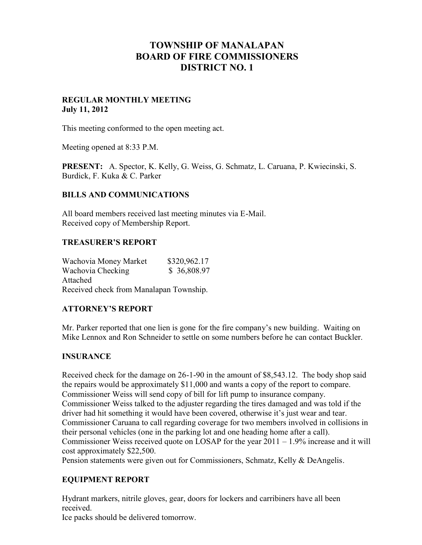# **TOWNSHIP OF MANALAPAN BOARD OF FIRE COMMISSIONERS DISTRICT NO. 1**

## **REGULAR MONTHLY MEETING July 11, 2012**

This meeting conformed to the open meeting act.

Meeting opened at 8:33 P.M.

**PRESENT:** A. Spector, K. Kelly, G. Weiss, G. Schmatz, L. Caruana, P. Kwiecinski, S. Burdick, F. Kuka & C. Parker

## **BILLS AND COMMUNICATIONS**

All board members received last meeting minutes via E-Mail. Received copy of Membership Report.

#### **TREASURER'S REPORT**

| Wachovia Money Market                   | \$320,962.17 |  |
|-----------------------------------------|--------------|--|
| Wachovia Checking                       | \$36,808.97  |  |
| Attached                                |              |  |
| Received check from Manalapan Township. |              |  |

## **ATTORNEY'S REPORT**

Mr. Parker reported that one lien is gone for the fire company's new building. Waiting on Mike Lennox and Ron Schneider to settle on some numbers before he can contact Buckler.

#### **INSURANCE**

Received check for the damage on 26-1-90 in the amount of \$8,543.12. The body shop said the repairs would be approximately \$11,000 and wants a copy of the report to compare. Commissioner Weiss will send copy of bill for lift pump to insurance company. Commissioner Weiss talked to the adjuster regarding the tires damaged and was told if the driver had hit something it would have been covered, otherwise it's just wear and tear. Commissioner Caruana to call regarding coverage for two members involved in collisions in their personal vehicles (one in the parking lot and one heading home after a call). Commissioner Weiss received quote on LOSAP for the year 2011 – 1.9% increase and it will cost approximately \$22,500.

Pension statements were given out for Commissioners, Schmatz, Kelly & DeAngelis.

## **EQUIPMENT REPORT**

Hydrant markers, nitrile gloves, gear, doors for lockers and carribiners have all been received.

Ice packs should be delivered tomorrow.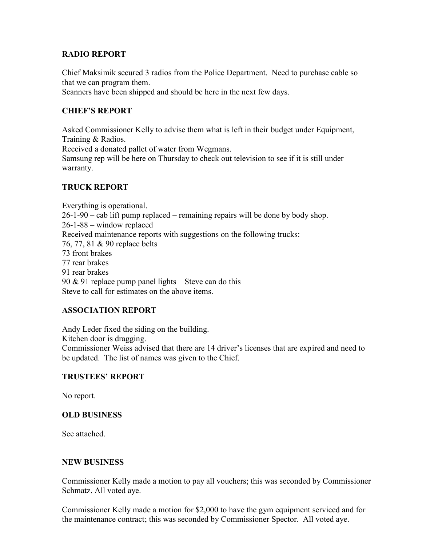## **RADIO REPORT**

Chief Maksimik secured 3 radios from the Police Department. Need to purchase cable so that we can program them.

Scanners have been shipped and should be here in the next few days.

# **CHIEF'S REPORT**

Asked Commissioner Kelly to advise them what is left in their budget under Equipment, Training & Radios.

Received a donated pallet of water from Wegmans.

Samsung rep will be here on Thursday to check out television to see if it is still under warranty.

# **TRUCK REPORT**

Everything is operational. 26-1-90 – cab lift pump replaced – remaining repairs will be done by body shop. 26-1-88 – window replaced Received maintenance reports with suggestions on the following trucks: 76, 77, 81 & 90 replace belts 73 front brakes 77 rear brakes 91 rear brakes 90  $&$  91 replace pump panel lights – Steve can do this Steve to call for estimates on the above items.

## **ASSOCIATION REPORT**

Andy Leder fixed the siding on the building. Kitchen door is dragging. Commissioner Weiss advised that there are 14 driver's licenses that are expired and need to be updated. The list of names was given to the Chief.

## **TRUSTEES' REPORT**

No report.

## **OLD BUSINESS**

See attached.

#### **NEW BUSINESS**

Commissioner Kelly made a motion to pay all vouchers; this was seconded by Commissioner Schmatz. All voted aye.

Commissioner Kelly made a motion for \$2,000 to have the gym equipment serviced and for the maintenance contract; this was seconded by Commissioner Spector. All voted aye.